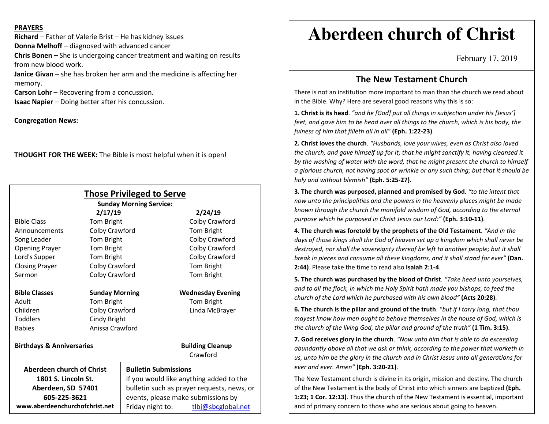#### **PRAYERS**

**Richard** – Father of Valerie Brist – He has kidney issues **Donna Melhoff** – diagnosed with advanced cancer **Chris Bonen –** She is undergoing cancer treatment and waiting on results from new blood work. **Janice Givan** – she has broken her arm and the medicine is affecting her

memory.

**Carson Lohr** – Recovering from a concussion.

**Isaac Napier** – Doing better after his concussion.

### **Congregation News:**

**THOUGHT FOR THE WEEK:** The Bible is most helpful when it is open!

|                                      |                       | <b>Those Privileged to Serve</b><br><b>Sunday Morning Service:</b> |                                     |
|--------------------------------------|-----------------------|--------------------------------------------------------------------|-------------------------------------|
|                                      | 2/17/19               |                                                                    | 2/24/19                             |
| <b>Bible Class</b>                   | Tom Bright            |                                                                    | Colby Crawford                      |
| Announcements                        | Colby Crawford        |                                                                    | Tom Bright                          |
| Song Leader                          | Tom Bright            |                                                                    | Colby Crawford                      |
| <b>Opening Prayer</b>                | Tom Bright            |                                                                    | Colby Crawford                      |
| Lord's Supper                        | Tom Bright            |                                                                    | Colby Crawford                      |
| <b>Closing Prayer</b>                | Colby Crawford        |                                                                    | Tom Bright                          |
| Sermon                               | Colby Crawford        |                                                                    | Tom Bright                          |
| <b>Bible Classes</b>                 | <b>Sunday Morning</b> |                                                                    | <b>Wednesday Evening</b>            |
| Adult                                | Tom Bright            |                                                                    | Tom Bright                          |
| Children                             | Colby Crawford        |                                                                    | Linda McBrayer                      |
| Toddlers                             | Cindy Bright          |                                                                    |                                     |
| <b>Babies</b>                        | Anissa Crawford       |                                                                    |                                     |
| <b>Birthdays &amp; Anniversaries</b> |                       |                                                                    | <b>Building Cleanup</b><br>Crawford |
| Aberdeen church of Christ            |                       | <b>Bulletin Submissions</b>                                        |                                     |
| 1801 S. Lincoln St.                  |                       | If you would like anything added to the                            |                                     |
| Aberdeen, SD 57401                   |                       | bulletin such as prayer requests, news, or                         |                                     |
| 605-225-3621                         |                       | events, please make submissions by                                 |                                     |
| www.aberdeenchurchofchrist.net       |                       | Friday night to:                                                   | tlbj@sbcglobal.net                  |

# **Aberdeen church of Christ**

February 17, 2019

## **The New Testament Church**

There is not an institution more important to man than the church we read about in the Bible. Why? Here are several good reasons why this is so:

**1. Christ is its head**. *"and he [God] put all things in subjection under his [Jesus'] feet, and gave him to be head over all things to the church, which is his body, the fulness of him that filleth all in all"* **(Eph. 1:22-23)**.

**2. Christ loves the church**. *"Husbands, love your wives, even as Christ also loved the church, and gave himself up for it; that he might sanctify it, having cleansed it by the washing of water with the word, that he might present the church to himself a glorious church, not having spot or wrinkle or any such thing; but that it should be holy and without blemish"* **(Eph. 5:25-27)**.

**3. The church was purposed, planned and promised by God**. *"to the intent that now unto the principalities and the powers in the heavenly places might be made known through the church the manifold wisdom of God, according to the eternal purpose which he purposed in Christ Jesus our Lord:"* **(Eph. 3:10-11)**.

**4. The church was foretold by the prophets of the Old Testament**. *"And in the days of those kings shall the God of heaven set up a kingdom which shall never be destroyed, nor shall the sovereignty thereof be left to another people; but it shall break in pieces and consume all these kingdoms, and it shall stand for ever"* **(Dan. 2:44)**. Please take the time to read also **Isaiah 2:1-4**.

**5. The church was purchased by the blood of Christ**. *"Take heed unto yourselves, and to all the flock, in which the Holy Spirit hath made you bishops, to feed the church of the Lord which he purchased with his own blood"* **(Acts 20:28)**.

**6. The church is the pillar and ground of the truth**. *"but if I tarry long, that thou mayest know how men ought to behave themselves in the house of God, which is the church of the living God, the pillar and ground of the truth"* **(1 Tim. 3:15)**.

**7. God receives glory in the church**. *"Now unto him that is able to do exceeding abundantly above all that we ask or think, according to the power that worketh in us, unto him be the glory in the church and in Christ Jesus unto all generations for ever and ever. Amen"* **(Eph. 3:20-21)**.

The New Testament church is divine in its origin, mission and destiny. The church of the New Testament is the body of Christ into which sinners are baptized **(Eph. 1:23; 1 Cor. 12:13)**. Thus the church of the New Testament is essential, important and of primary concern to those who are serious about going to heaven.